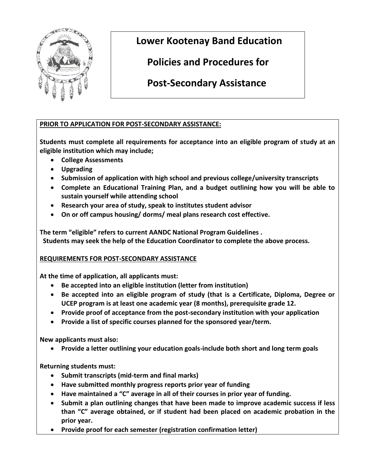

 **Lower Kootenay Band Education**

 **Policies and Procedures for** 

 **Post-Secondary Assistance**

## **PRIOR TO APPLICATION FOR POST-SECONDARY ASSISTANCE:**

**Students must complete all requirements for acceptance into an eligible program of study at an eligible institution which may include;**

- **College Assessments**
- **Upgrading**
- **Submission of application with high school and previous college/university transcripts**
- **Complete an Educational Training Plan, and a budget outlining how you will be able to sustain yourself while attending school**
- **Research your area of study, speak to institutes student advisor**
- **On or off campus housing/ dorms/ meal plans research cost effective.**

**The term "eligible" refers to current AANDC National Program Guidelines . Students may seek the help of the Education Coordinator to complete the above process.**

## **REQUIREMENTS FOR POST-SECONDARY ASSISTANCE**

**At the time of application, all applicants must:**

- **Be accepted into an eligible institution (letter from institution)**
- **Be accepted into an eligible program of study (that is a Certificate, Diploma, Degree or UCEP program is at least one academic year (8 months), prerequisite grade 12.**
- **Provide proof of acceptance from the post-secondary institution with your application**
- **Provide a list of specific courses planned for the sponsored year/term.**

**New applicants must also:**

**Provide a letter outlining your education goals-include both short and long term goals**

**Returning students must:**

- **Submit transcripts (mid-term and final marks)**
- **Have submitted monthly progress reports prior year of funding**
- **Have maintained a "C" average in all of their courses in prior year of funding.**
- **Submit a plan outlining changes that have been made to improve academic success if less than "C" average obtained, or if student had been placed on academic probation in the prior year.**
- **Provide proof for each semester (registration confirmation letter)**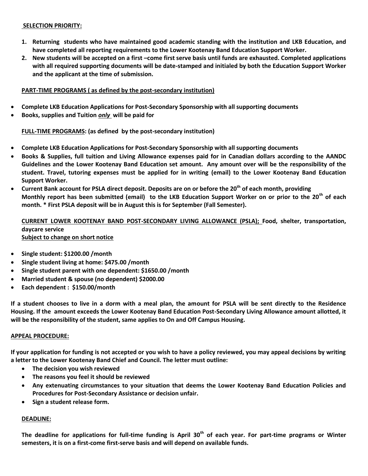#### **SELECTION PRIORITY:**

- **1. Returning students who have maintained good academic standing with the institution and LKB Education, and have completed all reporting requirements to the Lower Kootenay Band Education Support Worker.**
- **2. New students will be accepted on a first –come first serve basis until funds are exhausted. Completed applications with all required supporting documents will be date-stamped and initialed by both the Education Support Worker and the applicant at the time of submission.**

#### **PART-TIME PROGRAMS ( as defined by the post-secondary institution)**

- **Complete LKB Education Applications for Post-Secondary Sponsorship with all supporting documents**
- **Books, supplies and Tuition** *only* **will be paid for**

#### **FULL-TIME PROGRAMS: (as defined by the post-secondary institution)**

- **Complete LKB Education Applications for Post-Secondary Sponsorship with all supporting documents**
- **Books & Supplies, full tuition and Living Allowance expenses paid for in Canadian dollars according to the AANDC Guidelines and the Lower Kootenay Band Education set amount. Any amount over will be the responsibility of the student. Travel, tutoring expenses must be applied for in writing (email) to the Lower Kootenay Band Education Support Worker.**
- **Current Bank account for PSLA direct deposit. Deposits are on or before the 20th of each month, providing Monthly report has been submitted (email) to the LKB Education Support Worker on or prior to the 20th of each month. \* First PSLA deposit will be in August this is for September (Fall Semester).**

#### **CURRENT LOWER KOOTENAY BAND POST-SECONDARY LIVING ALLOWANCE (PSLA); Food, shelter, transportation, daycare service Subject to change on short notice**

- **Single student: \$1200.00 /month**
- **Single student living at home: \$475.00 /month**
- **Single student parent with one dependent: \$1650.00 /month**
- **Married student & spouse (no dependent) \$2000.00**
- **Each dependent : \$150.00/month**

**If a student chooses to live in a dorm with a meal plan, the amount for PSLA will be sent directly to the Residence Housing. If the amount exceeds the Lower Kootenay Band Education Post-Secondary Living Allowance amount allotted, it will be the responsibility of the student, same applies to On and Off Campus Housing.**

#### **APPEAL PROCEDURE:**

**If your application for funding is not accepted or you wish to have a policy reviewed, you may appeal decisions by writing a letter to the Lower Kootenay Band Chief and Council. The letter must outline:**

- **The decision you wish reviewed**
- **The reasons you feel it should be reviewed**
- **Any extenuating circumstances to your situation that deems the Lower Kootenay Band Education Policies and Procedures for Post-Secondary Assistance or decision unfair.**
- **•** Sign a student release form.

#### **DEADLINE:**

**The deadline for applications for full-time funding is April 30th of each year. For part-time programs or Winter semesters, it is on a first-come first-serve basis and will depend on available funds.**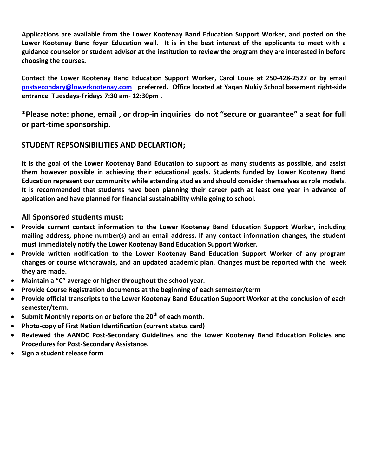**Applications are available from the Lower Kootenay Band Education Support Worker, and posted on the Lower Kootenay Band foyer Education wall. It is in the best interest of the applicants to meet with a guidance counselor or student advisor at the institution to review the program they are interested in before choosing the courses.**

**Contact the Lower Kootenay Band Education Support Worker, Carol Louie at 250-428-2527 or by email [postsecondary@lowerkootenay.com](mailto:postsecondary@lowerkootenay.com) preferred. Office located at Yaqan Nukiy School basement right-side entrance Tuesdays-Fridays 7:30 am- 12:30pm .** 

**\*Please note: phone, email , or drop-in inquiries do not "secure or guarantee" a seat for full or part-time sponsorship.** 

# **STUDENT REPSONSIBILITIES AND DECLARTION;**

**It is the goal of the Lower Kootenay Band Education to support as many students as possible, and assist them however possible in achieving their educational goals. Students funded by Lower Kootenay Band Education represent our community while attending studies and should consider themselves as role models. It is recommended that students have been planning their career path at least one year in advance of application and have planned for financial sustainability while going to school.**

### **All Sponsored students must:**

- **Provide current contact information to the Lower Kootenay Band Education Support Worker, including mailing address, phone number(s) and an email address. If any contact information changes, the student must immediately notify the Lower Kootenay Band Education Support Worker.**
- **Provide written notification to the Lower Kootenay Band Education Support Worker of any program changes or course withdrawals, and an updated academic plan. Changes must be reported with the week they are made.**
- **Maintain a "C" average or higher throughout the school year.**
- **Provide Course Registration documents at the beginning of each semester/term**
- **Provide official transcripts to the Lower Kootenay Band Education Support Worker at the conclusion of each semester/term.**
- **Submit Monthly reports on or before the 20th of each month.**
- **Photo-copy of First Nation Identification (current status card)**
- **Reviewed the AANDC Post-Secondary Guidelines and the Lower Kootenay Band Education Policies and Procedures for Post-Secondary Assistance.**
- **Sign a student release form**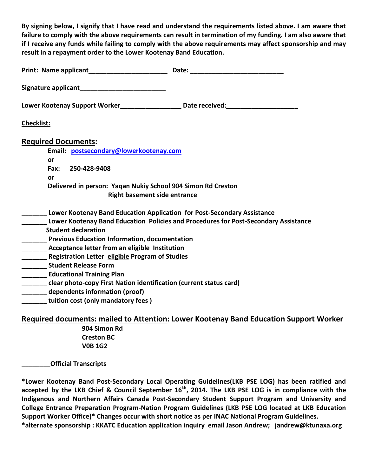**By signing below, I signify that I have read and understand the requirements listed above. I am aware that failure to comply with the above requirements can result in termination of my funding. I am also aware that if I receive any funds while failing to comply with the above requirements may affect sponsorship and may result in a repayment order to the Lower Kootenay Band Education.**

|                                  |                                                                    | Date: the contract of the contract of the contract of the contract of the contract of the contract of the contract of the contract of the contract of the contract of the contract of the contract of the contract of the cont |
|----------------------------------|--------------------------------------------------------------------|--------------------------------------------------------------------------------------------------------------------------------------------------------------------------------------------------------------------------------|
|                                  | Signature applicant Management Communications                      |                                                                                                                                                                                                                                |
|                                  |                                                                    | Lower Kootenay Support Worker____________________ Date received:_________________                                                                                                                                              |
| <b>Checklist:</b>                |                                                                    |                                                                                                                                                                                                                                |
| <b>Required Documents:</b>       |                                                                    |                                                                                                                                                                                                                                |
|                                  | Email: postsecondary@lowerkootenay.com                             |                                                                                                                                                                                                                                |
| or                               |                                                                    |                                                                                                                                                                                                                                |
| Fax: 250-428-9408                |                                                                    |                                                                                                                                                                                                                                |
| or                               |                                                                    |                                                                                                                                                                                                                                |
|                                  | Delivered in person: Yaqan Nukiy School 904 Simon Rd Creston       |                                                                                                                                                                                                                                |
|                                  | <b>Right basement side entrance</b>                                |                                                                                                                                                                                                                                |
|                                  |                                                                    | Lower Kootenay Band Education Application for Post-Secondary Assistance                                                                                                                                                        |
|                                  |                                                                    | Lower Kootenay Band Education Policies and Procedures for Post-Secondary Assistance                                                                                                                                            |
| <b>Student declaration</b>       |                                                                    |                                                                                                                                                                                                                                |
|                                  | <b>_____</b> Previous Education Information, documentation         |                                                                                                                                                                                                                                |
|                                  | Acceptance letter from an eligible Institution                     |                                                                                                                                                                                                                                |
|                                  | Registration Letter eligible Program of Studies                    |                                                                                                                                                                                                                                |
| ________ Student Release Form    |                                                                    |                                                                                                                                                                                                                                |
| <b>Educational Training Plan</b> |                                                                    |                                                                                                                                                                                                                                |
|                                  | clear photo-copy First Nation identification (current status card) |                                                                                                                                                                                                                                |
|                                  | dependents information (proof)                                     |                                                                                                                                                                                                                                |
|                                  | tuition cost (only mandatory fees)                                 |                                                                                                                                                                                                                                |
|                                  |                                                                    | Required documents: mailed to Attention: Lower Kootenay Band Education Support Worker                                                                                                                                          |
|                                  | 904 Simon Rd                                                       |                                                                                                                                                                                                                                |
|                                  |                                                                    |                                                                                                                                                                                                                                |

 **Creston BC V0B 1G2**

**\_\_\_\_\_\_\_\_Official Transcripts** 

**\*Lower Kootenay Band Post-Secondary Local Operating Guidelines(LKB PSE LOG) has been ratified and accepted by the LKB Chief & Council September 16th, 2014. The LKB PSE LOG is in compliance with the Indigenous and Northern Affairs Canada Post-Secondary Student Support Program and University and College Entrance Preparation Program-Nation Program Guidelines (LKB PSE LOG located at LKB Education Support Worker Office)\* Changes occur with short notice as per INAC National Program Guidelines.**

**\*alternate sponsorship : KKATC Education application inquiry email Jason Andrew; jandrew@ktunaxa.org**